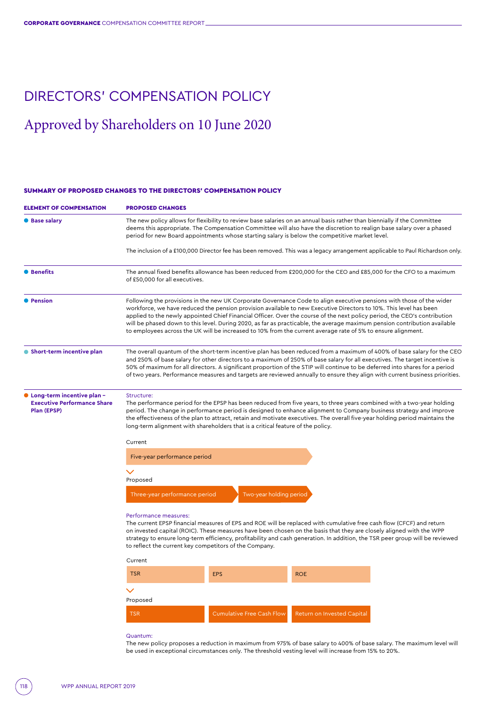# DIRECTORS' COMPENSATION POLICY

# Approved by Shareholders on 10 June 2020

# SUMMARY OF PROPOSED CHANGES TO THE DIRECTORS' COMPENSATION POLICY

| <b>ELEMENT OF COMPENSATION</b>                                                  | <b>PROPOSED CHANGES</b>                                                                                                                                                                                                                                                                                                                                                                                                                                                                                                                                                                                             |                                  |                                   |  |  |
|---------------------------------------------------------------------------------|---------------------------------------------------------------------------------------------------------------------------------------------------------------------------------------------------------------------------------------------------------------------------------------------------------------------------------------------------------------------------------------------------------------------------------------------------------------------------------------------------------------------------------------------------------------------------------------------------------------------|----------------------------------|-----------------------------------|--|--|
| <b>Base salary</b>                                                              | The new policy allows for flexibility to review base salaries on an annual basis rather than biennially if the Committee<br>deems this appropriate. The Compensation Committee will also have the discretion to realign base salary over a phased<br>period for new Board appointments whose starting salary is below the competitive market level.                                                                                                                                                                                                                                                                 |                                  |                                   |  |  |
|                                                                                 | The inclusion of a £100,000 Director fee has been removed. This was a legacy arrangement applicable to Paul Richardson only.                                                                                                                                                                                                                                                                                                                                                                                                                                                                                        |                                  |                                   |  |  |
| <b>•</b> Benefits                                                               | The annual fixed benefits allowance has been reduced from £200,000 for the CEO and £85,000 for the CFO to a maximum<br>of £50,000 for all executives.                                                                                                                                                                                                                                                                                                                                                                                                                                                               |                                  |                                   |  |  |
| <b>• Pension</b>                                                                | Following the provisions in the new UK Corporate Governance Code to align executive pensions with those of the wider<br>workforce, we have reduced the pension provision available to new Executive Directors to 10%. This level has been<br>applied to the newly appointed Chief Financial Officer. Over the course of the next policy period, the CEO's contribution<br>will be phased down to this level. During 2020, as far as practicable, the average maximum pension contribution available<br>to employees across the UK will be increased to 10% from the current average rate of 5% to ensure alignment. |                                  |                                   |  |  |
| Short-term incentive plan                                                       | The overall quantum of the short-term incentive plan has been reduced from a maximum of 400% of base salary for the CEO<br>and 250% of base salary for other directors to a maximum of 250% of base salary for all executives. The target incentive is<br>50% of maximum for all directors. A significant proportion of the STIP will continue to be deferred into shares for a period<br>of two years. Performance measures and targets are reviewed annually to ensure they align with current business priorities.                                                                                               |                                  |                                   |  |  |
| Long-term incentive plan -<br><b>Executive Performance Share</b><br>Plan (EPSP) | Structure:<br>The performance period for the EPSP has been reduced from five years, to three years combined with a two-year holding<br>period. The change in performance period is designed to enhance alignment to Company business strategy and improve<br>the effectiveness of the plan to attract, retain and motivate executives. The overall five-year holding period maintains the<br>long-term alignment with shareholders that is a critical feature of the policy.                                                                                                                                        |                                  |                                   |  |  |
|                                                                                 | Current                                                                                                                                                                                                                                                                                                                                                                                                                                                                                                                                                                                                             |                                  |                                   |  |  |
|                                                                                 | Five-year performance period                                                                                                                                                                                                                                                                                                                                                                                                                                                                                                                                                                                        |                                  |                                   |  |  |
|                                                                                 |                                                                                                                                                                                                                                                                                                                                                                                                                                                                                                                                                                                                                     |                                  |                                   |  |  |
|                                                                                 | Proposed                                                                                                                                                                                                                                                                                                                                                                                                                                                                                                                                                                                                            |                                  |                                   |  |  |
|                                                                                 | Two-year holding period<br>Three-year performance period                                                                                                                                                                                                                                                                                                                                                                                                                                                                                                                                                            |                                  |                                   |  |  |
|                                                                                 | Performance measures:<br>The current EPSP financial measures of EPS and ROE will be replaced with cumulative free cash flow (CFCF) and return<br>on invested capital (ROIC). These measures have been chosen on the basis that they are closely aligned with the WPP<br>strategy to ensure long-term efficiency, profitability and cash generation. In addition, the TSR peer group will be reviewed<br>to reflect the current key competitors of the Company.                                                                                                                                                      |                                  |                                   |  |  |
|                                                                                 | Current                                                                                                                                                                                                                                                                                                                                                                                                                                                                                                                                                                                                             |                                  |                                   |  |  |
|                                                                                 | <b>TSR</b>                                                                                                                                                                                                                                                                                                                                                                                                                                                                                                                                                                                                          | <b>EPS</b>                       | <b>ROE</b>                        |  |  |
|                                                                                 | $\checkmark$<br>Proposed                                                                                                                                                                                                                                                                                                                                                                                                                                                                                                                                                                                            |                                  |                                   |  |  |
|                                                                                 | <b>TSR</b>                                                                                                                                                                                                                                                                                                                                                                                                                                                                                                                                                                                                          | <b>Cumulative Free Cash Flow</b> | <b>Return on Invested Capital</b> |  |  |

#### Quantum:

The new policy proposes a reduction in maximum from 975% of base salary to 400% of base salary. The maximum level will be used in exceptional circumstances only. The threshold vesting level will increase from 15% to 20%.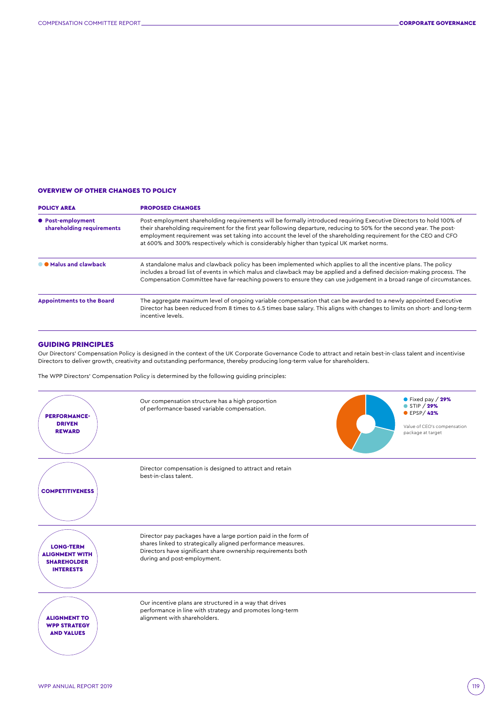# OVERVIEW OF OTHER CHANGES TO POLICY

| <b>POLICY AREA</b>                             | <b>PROPOSED CHANGES</b><br>Post-employment shareholding requirements will be formally introduced requiring Executive Directors to hold 100% of<br>their shareholding requirement for the first year following departure, reducing to 50% for the second year. The post-<br>employment requirement was set taking into account the level of the shareholding requirement for the CEO and CFO<br>at 600% and 300% respectively which is considerably higher than typical UK market norms. |  |  |
|------------------------------------------------|-----------------------------------------------------------------------------------------------------------------------------------------------------------------------------------------------------------------------------------------------------------------------------------------------------------------------------------------------------------------------------------------------------------------------------------------------------------------------------------------|--|--|
| ● Post-employment<br>shareholding requirements |                                                                                                                                                                                                                                                                                                                                                                                                                                                                                         |  |  |
| <b>O</b> Malus and clawback                    | A standalone malus and clawback policy has been implemented which applies to all the incentive plans. The policy<br>includes a broad list of events in which malus and clawback may be applied and a defined decision-making process. The<br>Compensation Committee have far-reaching powers to ensure they can use judgement in a broad range of circumstances.                                                                                                                        |  |  |
| <b>Appointments to the Board</b>               | The aggregate maximum level of ongoing variable compensation that can be awarded to a newly appointed Executive<br>Director has been reduced from 8 times to 6.5 times base salary. This aligns with changes to limits on short- and long-term<br>incentive levels.                                                                                                                                                                                                                     |  |  |

# GUIDING PRINCIPLES

Our Directors' Compensation Policy is designed in the context of the UK Corporate Governance Code to attract and retain best-in-class talent and incentivise Directors to deliver growth, creativity and outstanding performance, thereby producing long-term value for shareholders.

The WPP Directors' Compensation Policy is determined by the following guiding principles:

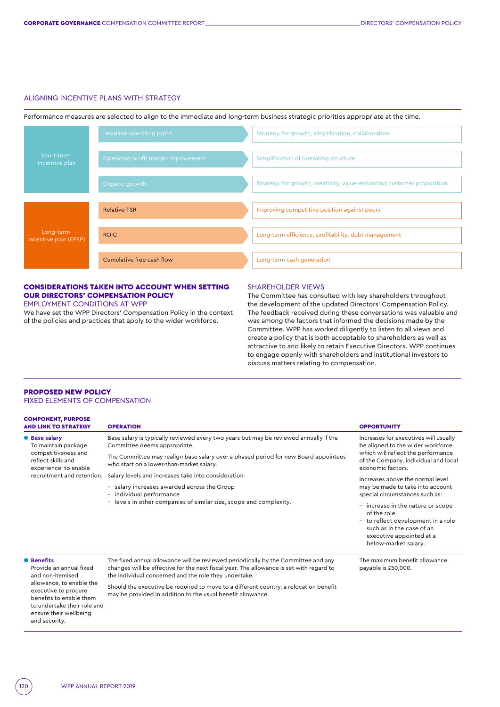#### ALIGNING INCENTIVE PLANS WITH STRATEGY

Performance measures are selected to align to the immediate and long-term business strategic priorities appropriate at the time.



# CONSIDERATIONS TAKEN INTO ACCOUNT WHEN SETTING OUR DIRECTORS' COMPENSATION POLICY

EMPLOYMENT CONDITIONS AT WPP

We have set the WPP Directors' Compensation Policy in the context of the policies and practices that apply to the wider workforce.

#### SHAREHOLDER VIEWS

The Committee has consulted with key shareholders throughout the development of the updated Directors' Compensation Policy. The feedback received during these conversations was valuable and was among the factors that informed the decisions made by the Committee. WPP has worked diligently to listen to all views and create a policy that is both acceptable to shareholders as well as attractive to and likely to retain Executive Directors. WPP continues to engage openly with shareholders and institutional investors to discuss matters relating to compensation.

payable is £50,000.

#### PROPOSED NEW POLICY FIXED ELEMENTS OF COMPENSATION

| <b>COMPONENT, PURPOSE</b><br><b>AND LINK TO STRATEGY</b>                                                                                 | <b>OPERATION</b>                                                                                                                | <b>OPPORTUNITY</b>                                                                                                                                                      |  |
|------------------------------------------------------------------------------------------------------------------------------------------|---------------------------------------------------------------------------------------------------------------------------------|-------------------------------------------------------------------------------------------------------------------------------------------------------------------------|--|
| • Base salary<br>To maintain package<br>competitiveness and<br>reflect skills and<br>experience; to enable<br>recruitment and retention. | Base salary is typically reviewed every two years but may be reviewed annually if the<br>Committee deems appropriate.           | Increases for executives will usually<br>be aligned to the wider workforce                                                                                              |  |
|                                                                                                                                          | The Committee may realign base salary over a phased period for new Board appointees<br>who start on a lower-than-market salary. | which will reflect the performance<br>of the Company, individual and local<br>economic factors.                                                                         |  |
|                                                                                                                                          | Salary levels and increases take into consideration:<br>- salary increases awarded across the Group<br>- individual performance | Increases above the normal level<br>may be made to take into account<br>special circumstances such as:                                                                  |  |
|                                                                                                                                          | levels in other companies of similar size, scope and complexity.<br>Ξ.                                                          | - increase in the nature or scope<br>of the role<br>- to reflect development in a role<br>such as in the case of an<br>executive appointed at a<br>below-market salary. |  |
| <b>O</b> Benefits                                                                                                                        | The fixed annual allowance will be reviewed periodically by the Committee and any                                               | The maximum benefit allowance                                                                                                                                           |  |

● **Benefits**

Provide an annual fixed and non-itemised allowance, to enable the executive to procure benefits to enable them to undertake their role and ensure their wellbeing and security.

The fixed annual allowance will be reviewed periodically by the Committee and any changes will be effective for the next fiscal year. The allowance is set with regard to the individual concerned and the role they undertake.

Should the executive be required to move to a different country, a relocation benefit may be provided in addition to the usual benefit allowance.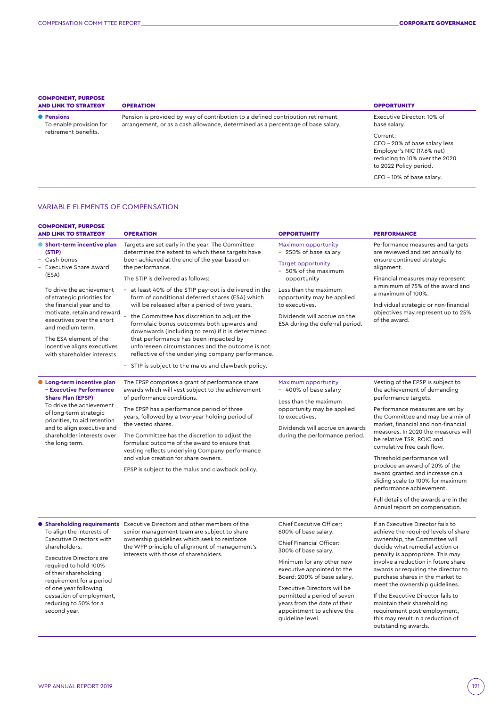#### COMPONENT, PURPOSE AND LINK TO STRATEGY OPERATION OPERATION

● **Pensions** To enable provision for retirement benefits.

# Pension is provided by way of contribution to a defined contribution retirement arrangement, or as a cash allowance, determined as a percentage of base salary.

Executive Director: 10% of base salary.

Current: CEO – 20% of base salary less Employer's NIC (17.6% net) reducing to 10% over the 2020 to 2022 Policy period.

CFO – 10% of base salary.

# VARIABLE ELEMENTS OF COMPENSATION

| <b>COMPONENT, PURPOSE</b><br><b>AND LINK TO STRATEGY</b>                                                                                                                                                                                                                                                                                              | <b>OPERATION</b>                                                                                                                                                                                                                                                                                                                                                                                                                                                                                                                                                                                                                                                                                                                      | <b>OPPORTUNITY</b>                                                                                                                                                                                                                                                                                                                             | <b>PERFORMANCE</b>                                                                                                                                                                                                                                                                                                                                                                                                                                                                                                                                        |
|-------------------------------------------------------------------------------------------------------------------------------------------------------------------------------------------------------------------------------------------------------------------------------------------------------------------------------------------------------|---------------------------------------------------------------------------------------------------------------------------------------------------------------------------------------------------------------------------------------------------------------------------------------------------------------------------------------------------------------------------------------------------------------------------------------------------------------------------------------------------------------------------------------------------------------------------------------------------------------------------------------------------------------------------------------------------------------------------------------|------------------------------------------------------------------------------------------------------------------------------------------------------------------------------------------------------------------------------------------------------------------------------------------------------------------------------------------------|-----------------------------------------------------------------------------------------------------------------------------------------------------------------------------------------------------------------------------------------------------------------------------------------------------------------------------------------------------------------------------------------------------------------------------------------------------------------------------------------------------------------------------------------------------------|
| • Short-term incentive plan<br>(STIP)<br>Cash bonus<br>Executive Share Award<br>(ESA)<br>To drive the achievement<br>of strategic priorities for<br>the financial year and to<br>motivate, retain and reward<br>executives over the short<br>and medium term.<br>The ESA element of the<br>incentive aligns executives<br>with shareholder interests. | Targets are set early in the year. The Committee<br>determines the extent to which these targets have<br>been achieved at the end of the year based on<br>the performance.<br>The STIP is delivered as follows:<br>- at least 40% of the STIP pay-out is delivered in the<br>form of conditional deferred shares (ESA) which<br>will be released after a period of two years.<br>the Committee has discretion to adjust the<br>formulaic bonus outcomes both upwards and<br>downwards (including to zero) if it is determined<br>that performance has been impacted by<br>unforeseen circumstances and the outcome is not<br>reflective of the underlying company performance.<br>- STIP is subject to the malus and clawback policy. | Maximum opportunity<br>- 250% of base salary<br><b>Target opportunity</b><br>- 50% of the maximum<br>opportunity<br>Less than the maximum<br>opportunity may be applied<br>to executives.<br>Dividends will accrue on the<br>ESA during the deferral period.                                                                                   | Performance measures and targets<br>are reviewed and set annually to<br>ensure continued strategic<br>alignment.<br>Financial measures may represent<br>a minimum of 75% of the award and<br>a maximum of 100%.<br>Individual strategic or non-financial<br>objectives may represent up to 25%<br>of the award.                                                                                                                                                                                                                                           |
| <b>Cong-term incentive plan</b><br>- Executive Performance<br><b>Share Plan (EPSP)</b><br>To drive the achievement<br>of long-term strategic<br>priorities, to aid retention<br>and to align executive and<br>shareholder interests over<br>the long term.                                                                                            | The EPSP comprises a grant of performance share<br>awards which will vest subject to the achievement<br>of performance conditions.<br>The EPSP has a performance period of three<br>years, followed by a two-year holding period of<br>the vested shares.<br>The Committee has the discretion to adjust the<br>formulaic outcome of the award to ensure that<br>vesting reflects underlying Company performance<br>and value creation for share owners.<br>EPSP is subject to the malus and clawback policy.                                                                                                                                                                                                                          | Maximum opportunity<br>- 400% of base salary<br>Less than the maximum<br>opportunity may be applied<br>to executives.<br>Dividends will accrue on awards<br>during the performance period.                                                                                                                                                     | Vesting of the EPSP is subject to<br>the achievement of demanding<br>performance targets.<br>Performance measures are set by<br>the Committee and may be a mix of<br>market, financial and non-financial<br>measures. In 2020 the measures will<br>be relative TSR, ROIC and<br>cumulative free cash flow.<br>Threshold performance will<br>produce an award of 20% of the<br>award granted and increase on a<br>sliding scale to 100% for maximum<br>performance achievement.<br>Full details of the awards are in the<br>Annual report on compensation. |
| To align the interests of<br><b>Executive Directors with</b><br>shareholders.<br><b>Executive Directors are</b><br>required to hold 100%<br>of their shareholding<br>requirement for a period<br>of one year following<br>cessation of employment,<br>reducing to 50% for a<br>second year.                                                           | <b>• Shareholding requirements</b> Executive Directors and other members of the<br>senior management team are subject to share<br>ownership guidelines which seek to reinforce<br>the WPP principle of alignment of management's<br>interests with those of shareholders.                                                                                                                                                                                                                                                                                                                                                                                                                                                             | Chief Executive Officer:<br>600% of base salary.<br>Chief Financial Officer:<br>300% of base salary.<br>Minimum for any other new<br>executive appointed to the<br>Board: 200% of base salary.<br>Executive Directors will be<br>permitted a period of seven<br>years from the date of their<br>appointment to achieve the<br>quideline level. | If an Executive Director fails to<br>achieve the required levels of share<br>ownership, the Committee will<br>decide what remedial action or<br>penalty is appropriate. This may<br>involve a reduction in future share<br>awards or requiring the director to<br>purchase shares in the market to<br>meet the ownership guidelines.<br>If the Executive Director fails to<br>maintain their shareholding<br>requirement post-employment,<br>this may result in a reduction of                                                                            |

outstanding awards.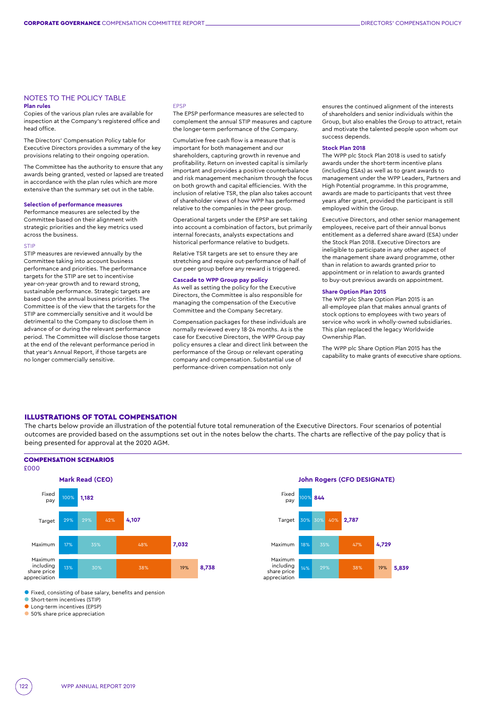# NOTES TO THE POLICY TABLE

# **Plan rules**

Copies of the various plan rules are available for inspection at the Company's registered office and head office.

The Directors' Compensation Policy table for Executive Directors provides a summary of the key provisions relating to their ongoing operation.

The Committee has the authority to ensure that any awards being granted, vested or lapsed are treated in accordance with the plan rules which are more extensive than the summary set out in the table.

#### **Selection of performance measures**

Performance measures are selected by the Committee based on their alignment with strategic priorities and the key metrics used across the business.

#### **STIP**

STIP measures are reviewed annually by the Committee taking into account business performance and priorities. The performance targets for the STIP are set to incentivise year-on-year growth and to reward strong, sustainable performance. Strategic targets are based upon the annual business priorities. The Committee is of the view that the targets for the STIP are commercially sensitive and it would be detrimental to the Company to disclose them in advance of or during the relevant performance period. The Committee will disclose those targets at the end of the relevant performance period in that year's Annual Report, if those targets are no longer commercially sensitive.

#### EPSP

The EPSP performance measures are selected to complement the annual STIP measures and capture the longer-term performance of the Company.

Cumulative free cash flow is a measure that is important for both management and our shareholders, capturing growth in revenue and profitability. Return on invested capital is similarly important and provides a positive counterbalance and risk management mechanism through the focus on both growth and capital efficiencies. With the inclusion of relative TSR, the plan also takes account of shareholder views of how WPP has performed relative to the companies in the peer group.

Operational targets under the EPSP are set taking into account a combination of factors, but primarily internal forecasts, analysts expectations and historical performance relative to budgets.

Relative TSR targets are set to ensure they are stretching and require out-performance of half of our peer group before any reward is triggered.

# **Cascade to WPP Group pay policy**

As well as setting the policy for the Executive Directors, the Committee is also responsible for managing the compensation of the Executive Committee and the Company Secretary.

Compensation packages for these individuals are normally reviewed every 18-24 months. As is the case for Executive Directors, the WPP Group pay policy ensures a clear and direct link between the performance of the Group or relevant operating company and compensation. Substantial use of performance-driven compensation not only

ensures the continued alignment of the interests of shareholders and senior individuals within the Group, but also enables the Group to attract, retain and motivate the talented people upon whom our success depends.

#### **Stock Plan 2018**

The WPP plc Stock Plan 2018 is used to satisfy awards under the short-term incentive plans (including ESAs) as well as to grant awards to management under the WPP Leaders, Partners and High Potential programme. In this programme, awards are made to participants that vest three years after grant, provided the participant is still employed within the Group.

Executive Directors, and other senior management employees, receive part of their annual bonus entitlement as a deferred share award (ESA) under the Stock Plan 2018. Executive Directors are ineligible to participate in any other aspect of the management share award programme, other than in relation to awards granted prior to appointment or in relation to awards granted to buy-out previous awards on appointment.

#### **Share Option Plan 2015**

The WPP plc Share Option Plan 2015 is an all-employee plan that makes annual grants of stock options to employees with two years of service who work in wholly-owned subsidiaries. This plan replaced the legacy Worldwide Ownership Plan.

The WPP plc Share Option Plan 2015 has the capability to make grants of executive share options.

# ILLUSTRATIONS OF TOTAL COMPENSATION

The charts below provide an illustration of the potential future total remuneration of the Executive Directors. Four scenarios of potential outcomes are provided based on the assumptions set out in the notes below the charts. The charts are reflective of the pay policy that is being presented for approval at the 2020 AGM.



• Fixed, consisting of base salary, benefits and pension

• Short-term incentives (STIP)

**• Long-term incentives (EPSP)** 

• 50% share price appreciation

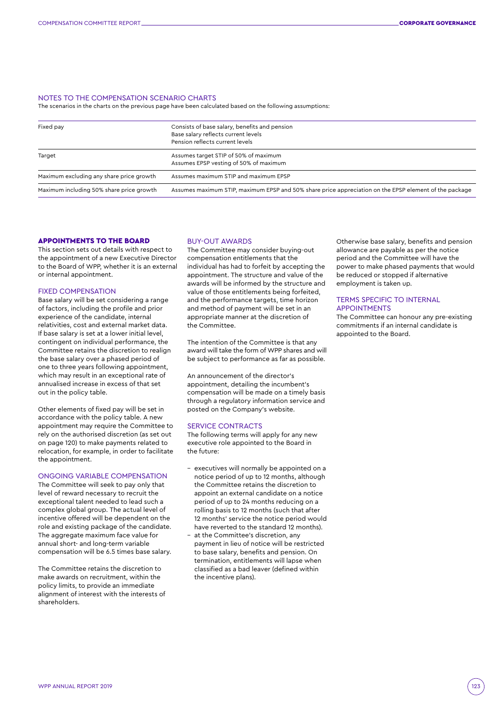#### NOTES TO THE COMPENSATION SCENARIO CHARTS

The scenarios in the charts on the previous page have been calculated based on the following assumptions:

| Fixed pay                                | Consists of base salary, benefits and pension<br>Base salary reflects current levels<br>Pension reflects current levels |
|------------------------------------------|-------------------------------------------------------------------------------------------------------------------------|
| Target                                   | Assumes target STIP of 50% of maximum<br>Assumes EPSP vesting of 50% of maximum                                         |
| Maximum excluding any share price growth | Assumes maximum STIP and maximum EPSP                                                                                   |
| Maximum including 50% share price growth | Assumes maximum STIP, maximum EPSP and 50% share price appreciation on the EPSP element of the package                  |

## APPOINTMENTS TO THE BOARD

This section sets out details with respect to the appointment of a new Executive Director to the Board of WPP, whether it is an external or internal appointment.

#### FIXED COMPENSATION

Base salary will be set considering a range of factors, including the profile and prior experience of the candidate, internal relativities, cost and external market data. If base salary is set at a lower initial level, contingent on individual performance, the Committee retains the discretion to realign the base salary over a phased period of one to three years following appointment, which may result in an exceptional rate of annualised increase in excess of that set out in the policy table.

Other elements of fixed pay will be set in accordance with the policy table. A new appointment may require the Committee to rely on the authorised discretion (as set out on page 120) to make payments related to relocation, for example, in order to facilitate the appointment.

#### ONGOING VARIABLE COMPENSATION

The Committee will seek to pay only that level of reward necessary to recruit the exceptional talent needed to lead such a complex global group. The actual level of incentive offered will be dependent on the role and existing package of the candidate. The aggregate maximum face value for annual short- and long-term variable compensation will be 6.5 times base salary.

The Committee retains the discretion to make awards on recruitment, within the policy limits, to provide an immediate alignment of interest with the interests of shareholders.

## BUY-OUT AWARDS

The Committee may consider buying-out compensation entitlements that the individual has had to forfeit by accepting the appointment. The structure and value of the awards will be informed by the structure and value of those entitlements being forfeited, and the performance targets, time horizon and method of payment will be set in an appropriate manner at the discretion of the Committee.

The intention of the Committee is that any award will take the form of WPP shares and will be subject to performance as far as possible.

An announcement of the director's appointment, detailing the incumbent's compensation will be made on a timely basis through a regulatory information service and posted on the Company's website.

#### SERVICE CONTRACTS

The following terms will apply for any new executive role appointed to the Board in the future:

- executives will normally be appointed on a notice period of up to 12 months, although the Committee retains the discretion to appoint an external candidate on a notice period of up to 24 months reducing on a rolling basis to 12 months (such that after 12 months' service the notice period would have reverted to the standard 12 months).
- at the Committee's discretion, any payment in lieu of notice will be restricted to base salary, benefits and pension. On termination, entitlements will lapse when classified as a bad leaver (defined within the incentive plans).

Otherwise base salary, benefits and pension allowance are payable as per the notice period and the Committee will have the power to make phased payments that would be reduced or stopped if alternative employment is taken up.

# TERMS SPECIFIC TO INTERNAL APPOINTMENTS

The Committee can honour any pre-existing commitments if an internal candidate is appointed to the Board.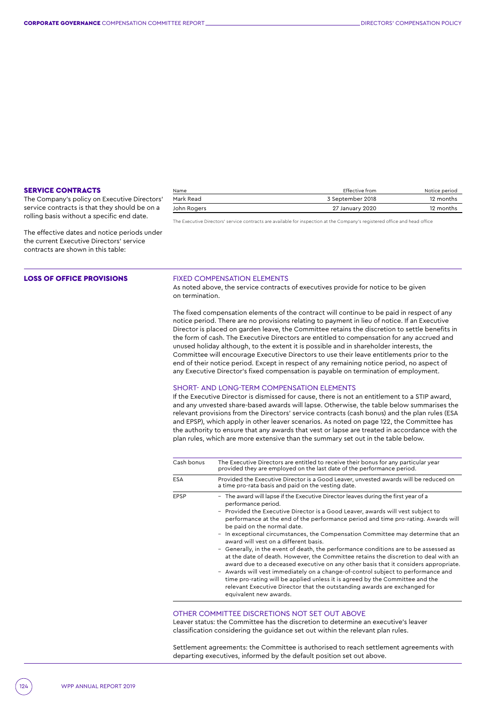### SERVICE CONTRACTS

The Company's policy on Executive Directors' service contracts is that they should be on a rolling basis without a specific end date.

The effective dates and notice periods under the current Executive Directors' service contracts are shown in this table:

#### LOSS OF OFFICE PROVISIONS **FIXED COMPENSATION ELEMENTS**

As noted above, the service contracts of executives provide for notice to be given on termination.

The Executive Directors' service contracts are available for inspection at the Company's registered office and head office

The fixed compensation elements of the contract will continue to be paid in respect of any notice period. There are no provisions relating to payment in lieu of notice. If an Executive Director is placed on garden leave, the Committee retains the discretion to settle benefits in the form of cash. The Executive Directors are entitled to compensation for any accrued and unused holiday although, to the extent it is possible and in shareholder interests, the Committee will encourage Executive Directors to use their leave entitlements prior to the end of their notice period. Except in respect of any remaining notice period, no aspect of any Executive Director's fixed compensation is payable on termination of employment.

Name Effective from Notice period Mark Read 3 September 2018 12 months John Rogers 27 January 2020 12 months

#### SHORT- AND LONG-TERM COMPENSATION ELEMENTS

If the Executive Director is dismissed for cause, there is not an entitlement to a STIP award, and any unvested share-based awards will lapse. Otherwise, the table below summarises the relevant provisions from the Directors' service contracts (cash bonus) and the plan rules (ESA and EPSP), which apply in other leaver scenarios. As noted on page 122, the Committee has the authority to ensure that any awards that vest or lapse are treated in accordance with the plan rules, which are more extensive than the summary set out in the table below.

| Cash bonus  | The Executive Directors are entitled to receive their bonus for any particular year<br>provided they are employed on the last date of the performance period.                                                                                                                                                                                                                                                                                                                                                                                                                                                                                                                                                                                                                                                                                                                                                                                                                                                            |
|-------------|--------------------------------------------------------------------------------------------------------------------------------------------------------------------------------------------------------------------------------------------------------------------------------------------------------------------------------------------------------------------------------------------------------------------------------------------------------------------------------------------------------------------------------------------------------------------------------------------------------------------------------------------------------------------------------------------------------------------------------------------------------------------------------------------------------------------------------------------------------------------------------------------------------------------------------------------------------------------------------------------------------------------------|
| <b>ESA</b>  | Provided the Executive Director is a Good Leaver, unvested awards will be reduced on<br>a time pro-rata basis and paid on the vesting date.                                                                                                                                                                                                                                                                                                                                                                                                                                                                                                                                                                                                                                                                                                                                                                                                                                                                              |
| <b>EPSP</b> | - The award will lapse if the Executive Director leaves during the first year of a<br>performance period.<br>- Provided the Executive Director is a Good Leaver, awards will vest subject to<br>performance at the end of the performance period and time pro-rating. Awards will<br>be paid on the normal date.<br>In exceptional circumstances, the Compensation Committee may determine that an<br>$\overline{\phantom{0}}$<br>award will vest on a different basis.<br>- Generally, in the event of death, the performance conditions are to be assessed as<br>at the date of death. However, the Committee retains the discretion to deal with an<br>award due to a deceased executive on any other basis that it considers appropriate.<br>- Awards will vest immediately on a change-of-control subject to performance and<br>time pro-rating will be applied unless it is agreed by the Committee and the<br>relevant Executive Director that the outstanding awards are exchanged for<br>equivalent new awards. |

# OTHER COMMITTEE DISCRETIONS NOT SET OUT ABOVE

Leaver status: the Committee has the discretion to determine an executive's leaver classification considering the guidance set out within the relevant plan rules.

Settlement agreements: the Committee is authorised to reach settlement agreements with departing executives, informed by the default position set out above.